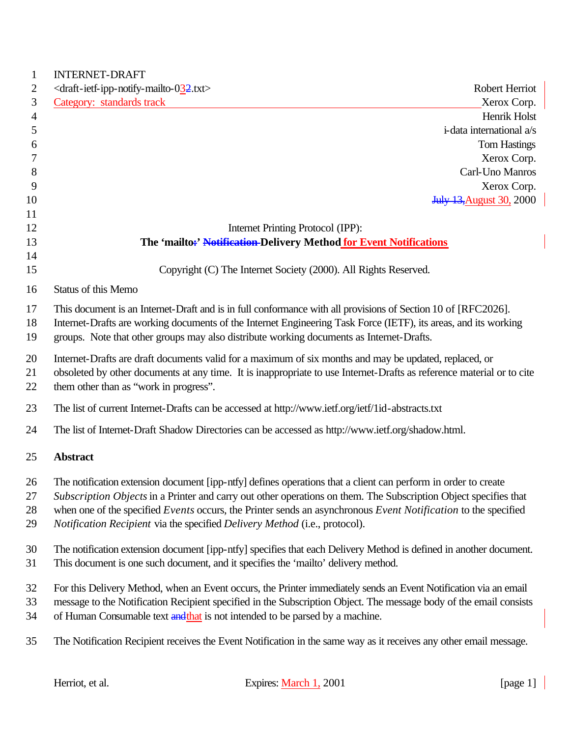| <b>INTERNET-DRAFT</b>                                                                                                                                                                                                           |                                 |
|---------------------------------------------------------------------------------------------------------------------------------------------------------------------------------------------------------------------------------|---------------------------------|
| <draft-ietf-ipp-notify-mailto-032.txt></draft-ietf-ipp-notify-mailto-032.txt>                                                                                                                                                   | Robert Herriot                  |
| Category: standards track                                                                                                                                                                                                       | Xerox Corp.                     |
|                                                                                                                                                                                                                                 | Henrik Holst                    |
|                                                                                                                                                                                                                                 | i-data international a/s        |
|                                                                                                                                                                                                                                 | <b>Tom Hastings</b>             |
|                                                                                                                                                                                                                                 | Xerox Corp.                     |
|                                                                                                                                                                                                                                 | Carl-Uno Manros                 |
|                                                                                                                                                                                                                                 | Xerox Corp.                     |
|                                                                                                                                                                                                                                 | <b>July 13, August 30, 2000</b> |
| Internet Printing Protocol (IPP):                                                                                                                                                                                               |                                 |
| The 'mailto:' Notification-Delivery Method for Event Notifications                                                                                                                                                              |                                 |
|                                                                                                                                                                                                                                 |                                 |
| Copyright (C) The Internet Society (2000). All Rights Reserved.                                                                                                                                                                 |                                 |
| Status of this Memo                                                                                                                                                                                                             |                                 |
| This document is an Internet-Draft and is in full conformance with all provisions of Section 10 of [RFC2026].                                                                                                                   |                                 |
| Internet-Drafts are working documents of the Internet Engineering Task Force (IETF), its areas, and its working                                                                                                                 |                                 |
| groups. Note that other groups may also distribute working documents as Internet-Drafts.                                                                                                                                        |                                 |
|                                                                                                                                                                                                                                 |                                 |
| Internet-Drafts are draft documents valid for a maximum of six months and may be updated, replaced, or<br>obsoleted by other documents at any time. It is inappropriate to use Internet-Drafts as reference material or to cite |                                 |
| them other than as "work in progress".                                                                                                                                                                                          |                                 |
| The list of current Internet-Drafts can be accessed at http://www.ietf.org/ietf/1id-abstracts.txt                                                                                                                               |                                 |
|                                                                                                                                                                                                                                 |                                 |
| The list of Internet-Draft Shadow Directories can be accessed as http://www.ietf.org/shadow.html.                                                                                                                               |                                 |
| <b>Abstract</b>                                                                                                                                                                                                                 |                                 |
| The notification extension document [ipp-ntfy] defines operations that a client can perform in order to create                                                                                                                  |                                 |
| Subscription Objects in a Printer and carry out other operations on them. The Subscription Object specifies that                                                                                                                |                                 |
| when one of the specified Events occurs, the Printer sends an asynchronous Event Notification to the specified                                                                                                                  |                                 |
| Notification Recipient via the specified Delivery Method (i.e., protocol).                                                                                                                                                      |                                 |
|                                                                                                                                                                                                                                 |                                 |
| The notification extension document [ipp-ntfy] specifies that each Delivery Method is defined in another document.                                                                                                              |                                 |
| This document is one such document, and it specifies the 'mailto' delivery method.                                                                                                                                              |                                 |
| For this Delivery Method, when an Event occurs, the Printer immediately sends an Event Notification via an email                                                                                                                |                                 |
| message to the Notification Recipient specified in the Subscription Object. The message body of the email consists                                                                                                              |                                 |
| of Human Consumable text and that is not intended to be parsed by a machine.                                                                                                                                                    |                                 |
|                                                                                                                                                                                                                                 |                                 |
| The Notification Recipient receives the Event Notification in the same way as it receives any other email message.                                                                                                              |                                 |
|                                                                                                                                                                                                                                 |                                 |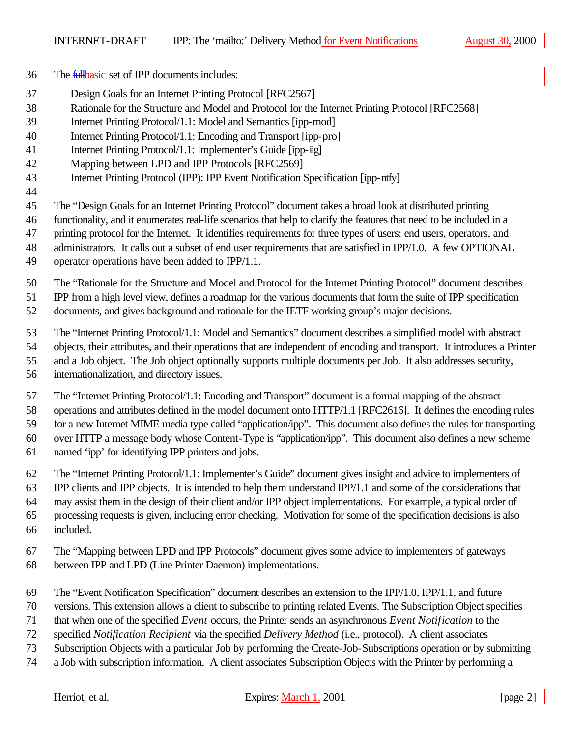- The fullbasic set of IPP documents includes:
- Design Goals for an Internet Printing Protocol [RFC2567]
- Rationale for the Structure and Model and Protocol for the Internet Printing Protocol [RFC2568]
- Internet Printing Protocol/1.1: Model and Semantics [ipp-mod]
- Internet Printing Protocol/1.1: Encoding and Transport [ipp-pro]
- 41 Internet Printing Protocol/1.1: Implementer's Guide [ipp-iig]
- Mapping between LPD and IPP Protocols [RFC2569]
- Internet Printing Protocol (IPP): IPP Event Notification Specification [ipp-ntfy]
- 

The "Design Goals for an Internet Printing Protocol" document takes a broad look at distributed printing

functionality, and it enumerates real-life scenarios that help to clarify the features that need to be included in a

printing protocol for the Internet. It identifies requirements for three types of users: end users, operators, and

- administrators. It calls out a subset of end user requirements that are satisfied in IPP/1.0. A few OPTIONAL
- operator operations have been added to IPP/1.1.

The "Rationale for the Structure and Model and Protocol for the Internet Printing Protocol" document describes

IPP from a high level view, defines a roadmap for the various documents that form the suite of IPP specification

documents, and gives background and rationale for the IETF working group's major decisions.

The "Internet Printing Protocol/1.1: Model and Semantics" document describes a simplified model with abstract

objects, their attributes, and their operations that are independent of encoding and transport. It introduces a Printer

- and a Job object. The Job object optionally supports multiple documents per Job. It also addresses security,
- internationalization, and directory issues.

The "Internet Printing Protocol/1.1: Encoding and Transport" document is a formal mapping of the abstract

operations and attributes defined in the model document onto HTTP/1.1 [RFC2616]. It defines the encoding rules

 for a new Internet MIME media type called "application/ipp". This document also defines the rules for transporting over HTTP a message body whose Content-Type is "application/ipp". This document also defines a new scheme

named 'ipp' for identifying IPP printers and jobs.

The "Internet Printing Protocol/1.1: Implementer's Guide" document gives insight and advice to implementers of

IPP clients and IPP objects. It is intended to help them understand IPP/1.1 and some of the considerations that

may assist them in the design of their client and/or IPP object implementations. For example, a typical order of

- processing requests is given, including error checking. Motivation for some of the specification decisions is also
- included.
- The "Mapping between LPD and IPP Protocols" document gives some advice to implementers of gateways
- between IPP and LPD (Line Printer Daemon) implementations.
- The "Event Notification Specification" document describes an extension to the IPP/1.0, IPP/1.1, and future
- versions. This extension allows a client to subscribe to printing related Events. The Subscription Object specifies
- that when one of the specified *Event* occurs, the Printer sends an asynchronous *Event Notification* to the
- specified *Notification Recipient* via the specified *Delivery Method* (i.e., protocol). A client associates
- Subscription Objects with a particular Job by performing the Create-Job-Subscriptions operation or by submitting
- a Job with subscription information. A client associates Subscription Objects with the Printer by performing a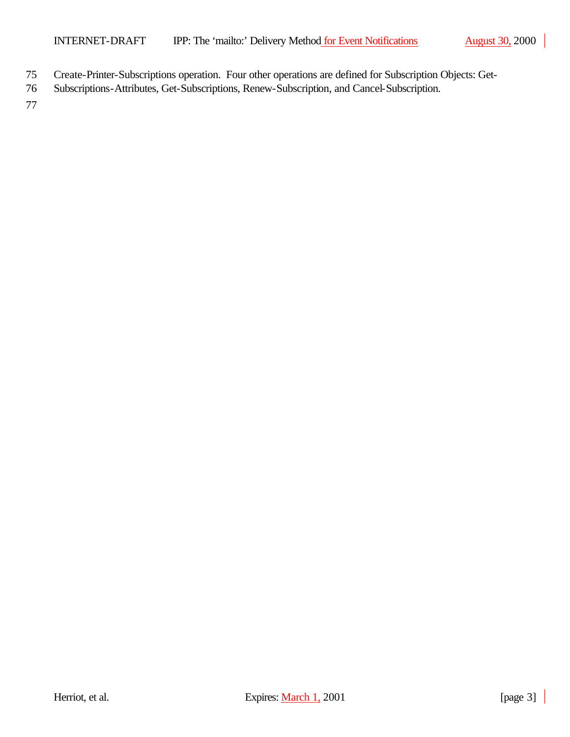- 75 Create-Printer-Subscriptions operation. Four other operations are defined for Subscription Objects: Get-
- 76 Subscriptions-Attributes, Get-Subscriptions, Renew-Subscription, and Cancel-Subscription.

77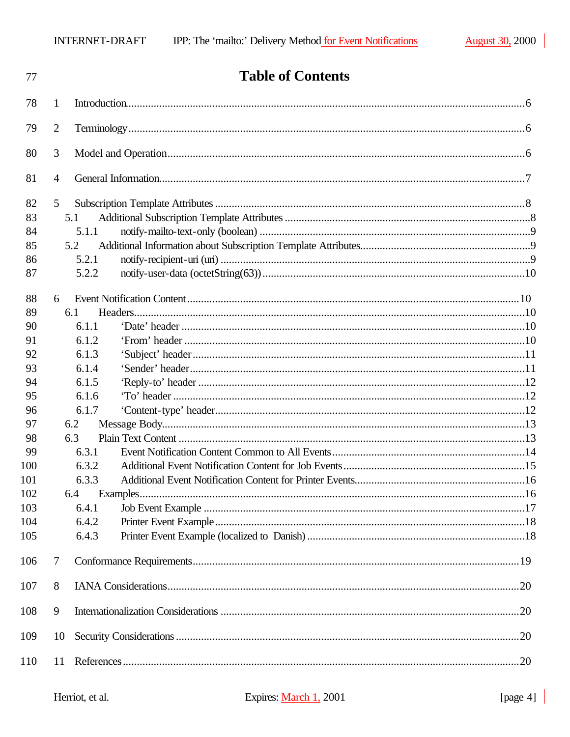| 77         | <b>Table of Contents</b> |  |
|------------|--------------------------|--|
| 78         | 1                        |  |
| 79         | 2                        |  |
| 80         | 3                        |  |
| 81         | $\overline{4}$           |  |
| 82         | 5                        |  |
| 83         | 5.1                      |  |
| 84         | 5.1.1                    |  |
| 85         | 5.2                      |  |
| 86         | 5.2.1                    |  |
| 87         | 5.2.2                    |  |
| 88         | 6                        |  |
| 89         | 6.1                      |  |
| 90         | 6.1.1                    |  |
| 91         | 6.1.2                    |  |
| 92         | 6.1.3                    |  |
| 93         | 6.1.4                    |  |
| 94         | 6.1.5                    |  |
| 95         | 6.1.6                    |  |
| 96         | 6.1.7                    |  |
| 97         | 6.2                      |  |
| 98         | 6.3                      |  |
| 99         | 6.3.1                    |  |
| 100        | 6.3.2                    |  |
| 101        | 6.3.3                    |  |
| 102        | 6.4                      |  |
| 103<br>104 | 6.4.1<br>6.4.2           |  |
| 105        | 6.4.3                    |  |
| 106        | $\tau$                   |  |
| 107        | 8                        |  |
|            |                          |  |
| 108        | 9                        |  |
| 109        | 10                       |  |
| 110        | 11                       |  |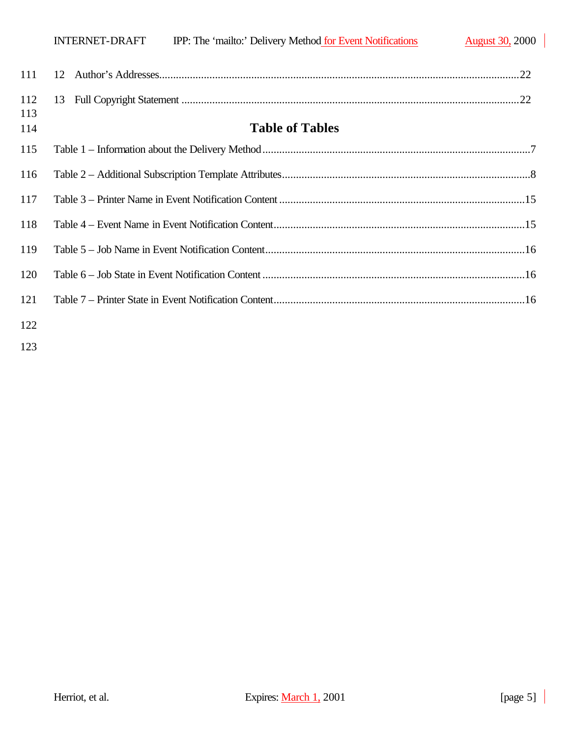|            | IPP: The 'mailto:' Delivery Method for Event Notifications<br>INTERNET-DRAFT | <b>August 30, 2000</b> |
|------------|------------------------------------------------------------------------------|------------------------|
| 111        | 12 <sub>1</sub>                                                              |                        |
| 112        |                                                                              |                        |
| 113<br>114 | <b>Table of Tables</b>                                                       |                        |
| 115        |                                                                              |                        |
| 116        |                                                                              |                        |
| 117        |                                                                              |                        |
| 118        |                                                                              |                        |
| 119        |                                                                              |                        |
| 120        |                                                                              |                        |
| 121        |                                                                              |                        |
| 122        |                                                                              |                        |

 $\overline{\phantom{a}}$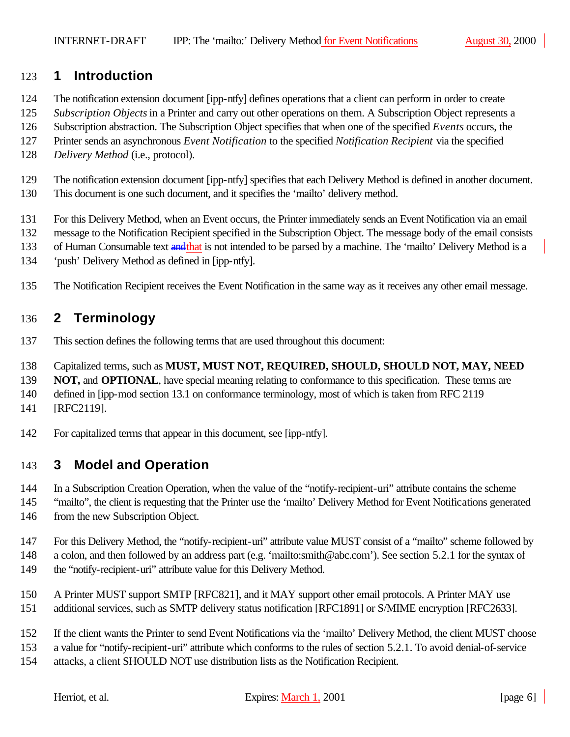## **1 Introduction**

- The notification extension document [ipp-ntfy] defines operations that a client can perform in order to create
- *Subscription Objects* in a Printer and carry out other operations on them. A Subscription Object represents a
- Subscription abstraction. The Subscription Object specifies that when one of the specified *Events* occurs, the
- Printer sends an asynchronous *Event Notification* to the specified *Notification Recipient* via the specified
- *Delivery Method* (i.e., protocol).
- The notification extension document [ipp-ntfy] specifies that each Delivery Method is defined in another document.
- This document is one such document, and it specifies the 'mailto' delivery method.
- For this Delivery Method, when an Event occurs, the Printer immediately sends an Event Notification via an email
- message to the Notification Recipient specified in the Subscription Object. The message body of the email consists
- 133 of Human Consumable text and that is not intended to be parsed by a machine. The 'mailto' Delivery Method is a
- 'push' Delivery Method as defined in [ipp-ntfy].
- The Notification Recipient receives the Event Notification in the same way as it receives any other email message.

# **2 Terminology**

- This section defines the following terms that are used throughout this document:
- Capitalized terms, such as **MUST, MUST NOT, REQUIRED, SHOULD, SHOULD NOT, MAY, NEED**
- **NOT, and OPTIONAL**, have special meaning relating to conformance to this specification. These terms are
- defined in [ipp-mod section 13.1 on conformance terminology, most of which is taken from RFC 2119
- [RFC2119].
- For capitalized terms that appear in this document, see [ipp-ntfy].

# **3 Model and Operation**

- In a Subscription Creation Operation, when the value of the "notify-recipient-uri" attribute contains the scheme
- "mailto", the client is requesting that the Printer use the 'mailto' Delivery Method for Event Notifications generated 146 from the new Subscription Object.
- For this Delivery Method, the "notify-recipient-uri" attribute value MUST consist of a "mailto" scheme followed by
- a colon, and then followed by an address part (e.g. 'mailto:smith@abc.com'). See section 5.2.1 for the syntax of 149 the "notify-recipient-uri" attribute value for this Delivery Method.
- A Printer MUST support SMTP [RFC821], and it MAY support other email protocols. A Printer MAY use
- additional services, such as SMTP delivery status notification [RFC1891] or S/MIME encryption [RFC2633].
- If the client wants the Printer to send Event Notifications via the 'mailto' Delivery Method, the client MUST choose
- a value for "notify-recipient-uri" attribute which conforms to the rules of section 5.2.1. To avoid denial-of-service
- attacks, a client SHOULD NOT use distribution lists as the Notification Recipient.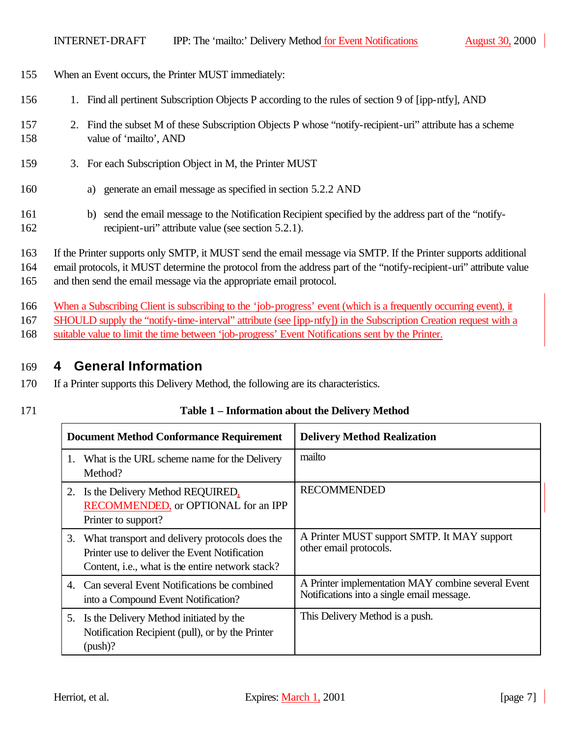- 155 When an Event occurs, the Printer MUST immediately:
- 156 1. Find all pertinent Subscription Objects P according to the rules of section 9 of [ipp-ntfy], AND
- 157 2. Find the subset M of these Subscription Objects P whose "notify-recipient-uri" attribute has a scheme 158 value of 'mailto', AND
- 159 3. For each Subscription Object in M, the Printer MUST
- 160 a) generate an email message as specified in section 5.2.2 AND
- 161 b) send the email message to the Notification Recipient specified by the address part of the "notify-162 recipient-uri" attribute value (see section 5.2.1).
- 163 If the Printer supports only SMTP, it MUST send the email message via SMTP. If the Printer supports additional

164 email protocols, it MUST determine the protocol from the address part of the "notify-recipient-uri" attribute value

165 and then send the email message via the appropriate email protocol.

- 166 When a Subscribing Client is subscribing to the 'job-progress' event (which is a frequently occurring event), it
- 167 SHOULD supply the "notify-time-interval" attribute (see [ipp-ntfy]) in the Subscription Creation request with a
- 168 suitable value to limit the time between 'job-progress' Event Notifications sent by the Printer.

## 169 **4 General Information**

- 170 If a Printer supports this Delivery Method, the following are its characteristics.
- 

## 171 **Table 1 – Information about the Delivery Method**

|    | <b>Document Method Conformance Requirement</b>                                                                                                                 | <b>Delivery Method Realization</b>                                                               |
|----|----------------------------------------------------------------------------------------------------------------------------------------------------------------|--------------------------------------------------------------------------------------------------|
| 1. | What is the URL scheme name for the Delivery<br>Method?                                                                                                        | mailto                                                                                           |
|    | 2. Is the Delivery Method REQUIRED,<br>RECOMMENDED, or OPTIONAL for an IPP<br>Printer to support?                                                              | <b>RECOMMENDED</b>                                                                               |
|    | 3. What transport and delivery protocols does the<br>Printer use to deliver the Event Notification<br>Content, <i>i.e.</i> , what is the entire network stack? | A Printer MUST support SMTP. It MAY support<br>other email protocols.                            |
|    | 4. Can several Event Notifications be combined<br>into a Compound Event Notification?                                                                          | A Printer implementation MAY combine several Event<br>Notifications into a single email message. |
|    | 5. Is the Delivery Method initiated by the<br>Notification Recipient (pull), or by the Printer<br>$(push)$ ?                                                   | This Delivery Method is a push.                                                                  |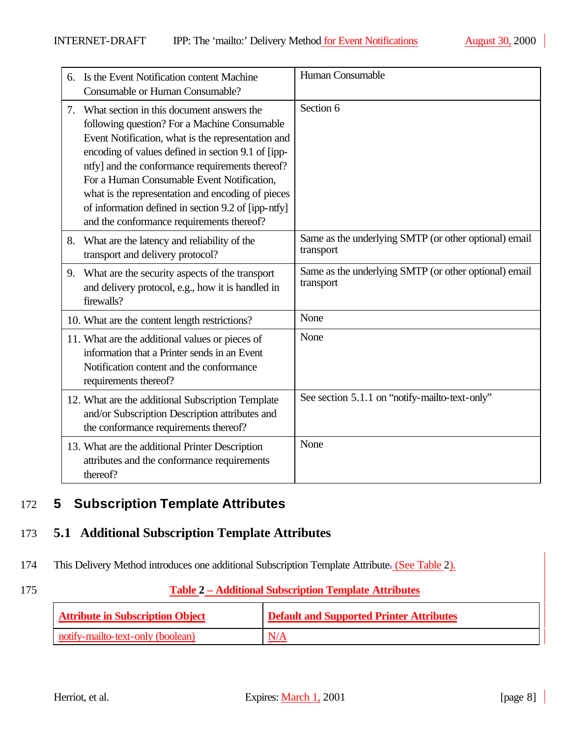|    | Is the Event Notification content Machine<br>Consumable or Human Consumable?                                                                                                                                                                                                                                                                                                                                                                                    | Human Consumable                                                   |
|----|-----------------------------------------------------------------------------------------------------------------------------------------------------------------------------------------------------------------------------------------------------------------------------------------------------------------------------------------------------------------------------------------------------------------------------------------------------------------|--------------------------------------------------------------------|
| 7. | What section in this document answers the<br>following question? For a Machine Consumable<br>Event Notification, what is the representation and<br>encoding of values defined in section 9.1 of [ipp-<br>ntfy] and the conformance requirements thereof?<br>For a Human Consumable Event Notification,<br>what is the representation and encoding of pieces<br>of information defined in section 9.2 of [ipp-ntfy]<br>and the conformance requirements thereof? | Section 6                                                          |
| 8. | What are the latency and reliability of the<br>transport and delivery protocol?                                                                                                                                                                                                                                                                                                                                                                                 | Same as the underlying SMTP (or other optional) email<br>transport |
| 9. | What are the security aspects of the transport<br>and delivery protocol, e.g., how it is handled in<br>firewalls?                                                                                                                                                                                                                                                                                                                                               | Same as the underlying SMTP (or other optional) email<br>transport |
|    | 10. What are the content length restrictions?                                                                                                                                                                                                                                                                                                                                                                                                                   | None                                                               |
|    | 11. What are the additional values or pieces of<br>information that a Printer sends in an Event<br>Notification content and the conformance<br>requirements thereof?                                                                                                                                                                                                                                                                                            | None                                                               |
|    | 12. What are the additional Subscription Template<br>and/or Subscription Description attributes and<br>the conformance requirements thereof?                                                                                                                                                                                                                                                                                                                    | See section 5.1.1 on "notify-mailto-text-only"                     |
|    | 13. What are the additional Printer Description<br>attributes and the conformance requirements<br>thereof?                                                                                                                                                                                                                                                                                                                                                      | None                                                               |

# 172 **5 Subscription Template Attributes**

## 173 **5.1 Additional Subscription Template Attributes**

174 This Delivery Method introduces one additional Subscription Template Attribute- (See Table 2).

## 175 **Table 2 – Additional Subscription Template Attributes**

| <b>Attribute in Subscription Object</b> | <b>Default and Supported Printer Attributes</b> |
|-----------------------------------------|-------------------------------------------------|
| notify-mailto-text-only (boolean)       | N/A                                             |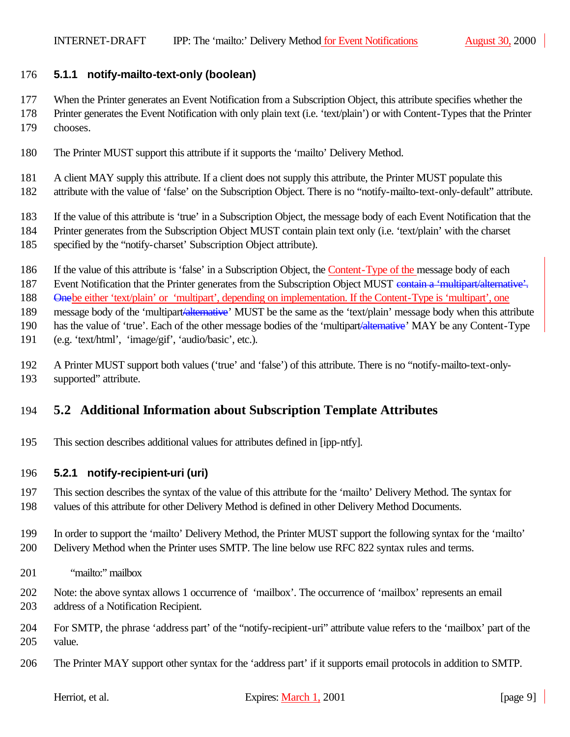## **5.1.1 notify-mailto-text-only (boolean)**

- When the Printer generates an Event Notification from a Subscription Object, this attribute specifies whether the
- Printer generates the Event Notification with only plain text (i.e. 'text/plain') or with Content-Types that the Printer chooses.
- The Printer MUST support this attribute if it supports the 'mailto' Delivery Method.
- 181 A client MAY supply this attribute. If a client does not supply this attribute, the Printer MUST populate this
- attribute with the value of 'false' on the Subscription Object. There is no "notify-mailto-text-only-default" attribute.
- If the value of this attribute is 'true' in a Subscription Object, the message body of each Event Notification that the
- Printer generates from the Subscription Object MUST contain plain text only (i.e. 'text/plain' with the charset
- specified by the "notify-charset' Subscription Object attribute).
- 186 If the value of this attribute is 'false' in a Subscription Object, the Content-Type of the message body of each
- 187 Event Notification that the Printer generates from the Subscription Object MUST contain a 'multipart/alternative'.

Onebe either 'text/plain' or 'multipart', depending on implementation. If the Content-Type is 'multipart', one

189 message body of the 'multipart/alternative' MUST be the same as the 'text/plain' message body when this attribute

190 has the value of 'true'. Each of the other message bodies of the 'multipart<del>'alternative</del>' MAY be any Content-Type

- (e.g. 'text/html', 'image/gif', 'audio/basic', etc.).
- A Printer MUST support both values ('true' and 'false') of this attribute. There is no "notify-mailto-text-only-supported" attribute.

# **5.2 Additional Information about Subscription Template Attributes**

This section describes additional values for attributes defined in [ipp-ntfy].

## **5.2.1 notify-recipient-uri (uri)**

- This section describes the syntax of the value of this attribute for the 'mailto' Delivery Method. The syntax for values of this attribute for other Delivery Method is defined in other Delivery Method Documents.
- In order to support the 'mailto' Delivery Method, the Printer MUST support the following syntax for the 'mailto' Delivery Method when the Printer uses SMTP. The line below use RFC 822 syntax rules and terms.
- "mailto:" mailbox
- Note: the above syntax allows 1 occurrence of 'mailbox'. The occurrence of 'mailbox' represents an email address of a Notification Recipient.
- For SMTP, the phrase 'address part' of the "notify-recipient-uri" attribute value refers to the 'mailbox' part of the value.
- The Printer MAY support other syntax for the 'address part' if it supports email protocols in addition to SMTP.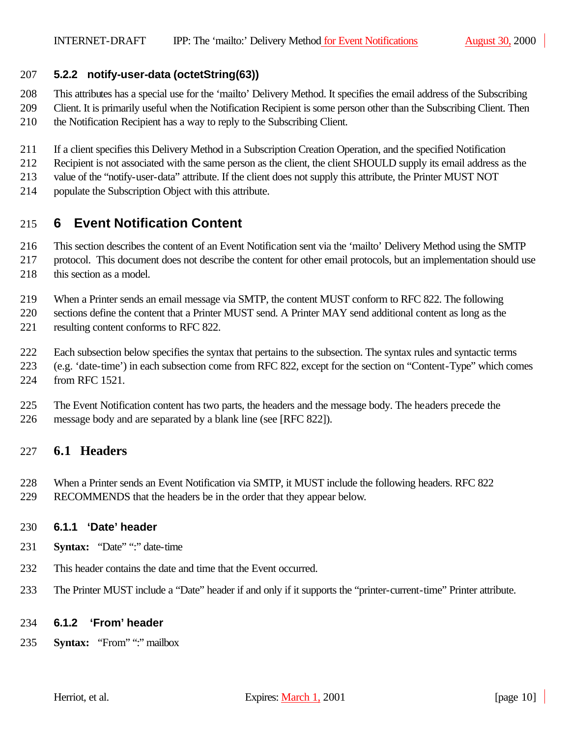### **5.2.2 notify-user-data (octetString(63))**

 This attributes has a special use for the 'mailto' Delivery Method. It specifies the email address of the Subscribing Client. It is primarily useful when the Notification Recipient is some person other than the Subscribing Client. Then the Notification Recipient has a way to reply to the Subscribing Client.

- If a client specifies this Delivery Method in a Subscription Creation Operation, and the specified Notification
- Recipient is not associated with the same person as the client, the client SHOULD supply its email address as the
- value of the "notify-user-data" attribute. If the client does not supply this attribute, the Printer MUST NOT
- populate the Subscription Object with this attribute.

# **6 Event Notification Content**

- This section describes the content of an Event Notification sent via the 'mailto' Delivery Method using the SMTP
- protocol. This document does not describe the content for other email protocols, but an implementation should use 218 this section as a model.
- When a Printer sends an email message via SMTP, the content MUST conform to RFC 822. The following

 sections define the content that a Printer MUST send. A Printer MAY send additional content as long as the resulting content conforms to RFC 822.

- Each subsection below specifies the syntax that pertains to the subsection. The syntax rules and syntactic terms
- (e.g. 'date-time') in each subsection come from RFC 822, except for the section on "Content-Type" which comes from RFC 1521.
- The Event Notification content has two parts, the headers and the message body. The headers precede the message body and are separated by a blank line (see [RFC 822]).

## **6.1 Headers**

- When a Printer sends an Event Notification via SMTP, it MUST include the following headers. RFC 822
- RECOMMENDS that the headers be in the order that they appear below.

#### **6.1.1 'Date' header**

- **Syntax:** "Date" ":" date-time
- This header contains the date and time that the Event occurred.
- The Printer MUST include a "Date" header if and only if it supports the "printer-current-time" Printer attribute.

#### **6.1.2 'From' header**

**Syntax:** "From" ":" mailbox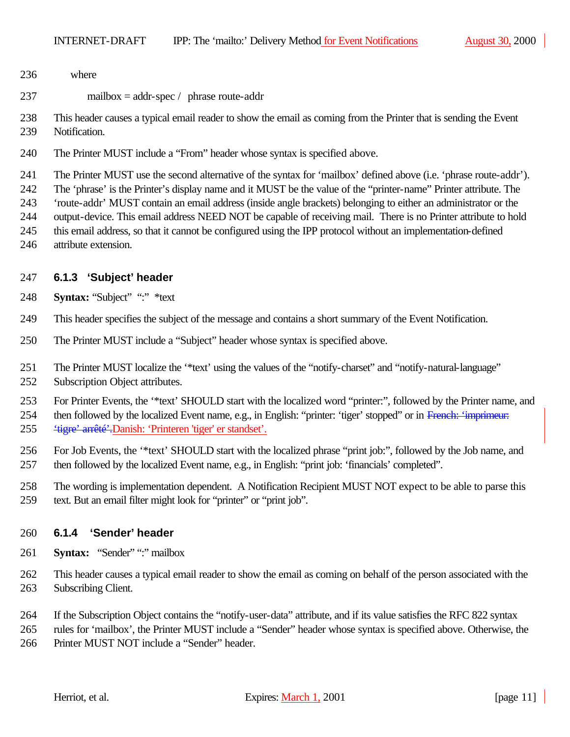- where
- mailbox = addr-spec / phrase route-addr

 This header causes a typical email reader to show the email as coming from the Printer that is sending the Event Notification.

The Printer MUST include a "From" header whose syntax is specified above.

The Printer MUST use the second alternative of the syntax for 'mailbox' defined above (i.e. 'phrase route-addr').

The 'phrase' is the Printer's display name and it MUST be the value of the "printer-name" Printer attribute. The

'route-addr' MUST contain an email address (inside angle brackets) belonging to either an administrator or the

- output-device. This email address NEED NOT be capable of receiving mail. There is no Printer attribute to hold
- this email address, so that it cannot be configured using the IPP protocol without an implementation-defined attribute extension.

## **6.1.3 'Subject' header**

- **Syntax:** "Subject" ":" \*text
- This header specifies the subject of the message and contains a short summary of the Event Notification.
- The Printer MUST include a "Subject" header whose syntax is specified above.
- The Printer MUST localize the '\*text' using the values of the "notify-charset" and "notify-natural-language" Subscription Object attributes.

For Printer Events, the '\*text' SHOULD start with the localized word "printer:", followed by the Printer name, and

254 then followed by the localized Event name, e.g., in English: "printer: 'tiger' stopped' or in French: 'imprimeur: 'tigre' arrêté'.Danish: 'Printeren 'tiger' er standset'.

- For Job Events, the '\*text' SHOULD start with the localized phrase "print job:", followed by the Job name, and then followed by the localized Event name, e.g., in English: "print job: 'financials' completed".
- The wording is implementation dependent. A Notification Recipient MUST NOT expect to be able to parse this text. But an email filter might look for "printer" or "print job".
- 

## **6.1.4 'Sender' header**

- **Syntax:** "Sender" ":" mailbox
- This header causes a typical email reader to show the email as coming on behalf of the person associated with the Subscribing Client.
- If the Subscription Object contains the "notify-user-data" attribute, and if its value satisfies the RFC 822 syntax
- rules for 'mailbox', the Printer MUST include a "Sender" header whose syntax is specified above. Otherwise, the Printer MUST NOT include a "Sender" header.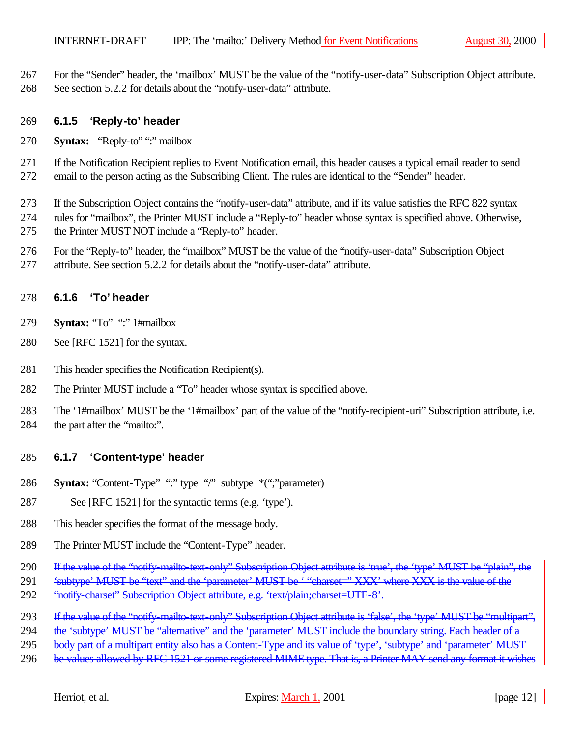For the "Sender" header, the 'mailbox' MUST be the value of the "notify-user-data" Subscription Object attribute. See section 5.2.2 for details about the "notify-user-data" attribute.

#### **6.1.5 'Reply-to' header**

**Syntax:** "Reply-to" ":" mailbox

 If the Notification Recipient replies to Event Notification email, this header causes a typical email reader to send email to the person acting as the Subscribing Client. The rules are identical to the "Sender" header.

 If the Subscription Object contains the "notify-user-data" attribute, and if its value satisfies the RFC 822 syntax rules for "mailbox", the Printer MUST include a "Reply-to" header whose syntax is specified above. Otherwise, the Printer MUST NOT include a "Reply-to" header.

- For the "Reply-to" header, the "mailbox" MUST be the value of the "notify-user-data" Subscription Object
- attribute. See section 5.2.2 for details about the "notify-user-data" attribute.

#### **6.1.6 'To' header**

- **Syntax:** "To" ":" 1#mailbox
- See [RFC 1521] for the syntax.
- This header specifies the Notification Recipient(s).
- The Printer MUST include a "To" header whose syntax is specified above.

 The '1#mailbox' MUST be the '1#mailbox' part of the value of the "notify-recipient-uri" Subscription attribute, i.e. 284 the part after the "mailto:".

#### **6.1.7 'Content-type' header**

- **Syntax:** "Content-Type" ":" type "/" subtype \*(";"parameter)
- See [RFC 1521] for the syntactic terms (e.g. 'type').
- This header specifies the format of the message body.
- The Printer MUST include the "Content-Type" header.
- 290 If the value of the "notify-mailto-text-only" Subscription Object attribute is 'true', the 'type' MUST be "plain", the
- 291 'subtype' MUST be "text" and the 'parameter' MUST be ' "charset=" XXX' where XXX is the value of the
- 292 "notify-charset" Subscription Object attribute, e.g. 'text/plain;charset=UTF-8'.
- 293 If the value of the "notify-mailto-text-only" Subscription Object attribute is 'false', the 'type' MUST be "multipart",
- 294 the 'subtype' MUST be "alternative" and the 'parameter' MUST include the boundary string. Each header of a
- 295 body part of a multipart entity also has a Content-Type and its value of 'type', 'subtype' and 'parameter' MUST
- 296 be values allowed by RFC 1521 or some registered MIME type. That is, a Printer MAY send any format it wishes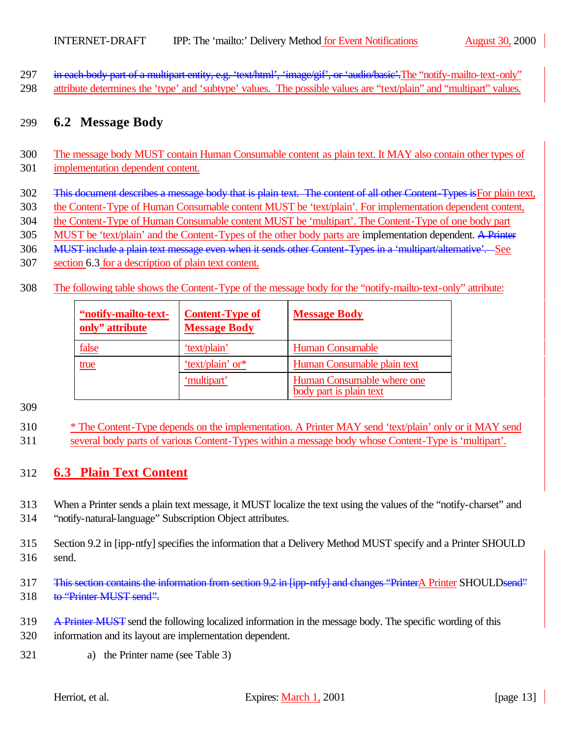297 in each body part of a multipart entity, e.g. 'text/html', 'image/gif', or 'audio/basic'. The "notify-mailto-text-only" 298 attribute determines the 'type' and 'subtype' values. The possible values are "text/plain" and "multipart" values.

## 299 **6.2 Message Body**

### 300 The message body MUST contain Human Consumable content as plain text. It MAY also contain other types of

- 301 implementation dependent content.
- 302 This document describes a message body that is plain text. The content of all other Content-Types is For plain text,
- 303 the Content-Type of Human Consumable content MUST be 'text/plain'. For implementation dependent content,
- 304 the Content-Type of Human Consumable content MUST be 'multipart'. The Content-Type of one body part
- 305 MUST be 'text/plain' and the Content-Types of the other body parts are implementation dependent. A Printer
- 306 MUST include a plain text message even when it sends other Content-Types in a 'multipart/alternative'. See
- 307 section 6.3 for a description of plain text content.
- 308 The following table shows the Content-Type of the message body for the "notify-mailto-text-only" attribute:

| "notify-mailto-text-<br>only" attribute | <b>Content-Type of</b><br><b>Message Body</b>   | <b>Message Body</b>                                   |
|-----------------------------------------|-------------------------------------------------|-------------------------------------------------------|
| <u>false</u>                            | 'text/plain'                                    | <b>Human Consumable</b>                               |
| true                                    | 'text/plain' or*<br>Human Consumable plain text |                                                       |
|                                         | 'multipart'                                     | Human Consumable where one<br>body part is plain text |

#### 309

310 \* The Content-Type depends on the implementation. A Printer MAY send 'text/plain' only or it MAY send 311 several body parts of various Content-Types within a message body whose Content-Type is 'multipart'.

## 312 **6.3 Plain Text Content**

313 When a Printer sends a plain text message, it MUST localize the text using the values of the "notify-charset" and

314 "notify-natural-language" Subscription Object attributes.

315 Section 9.2 in [ipp-ntfy] specifies the information that a Delivery Method MUST specify and a Printer SHOULD 316 send.

- 317 This section contains the information from section 9.2 in [ipp-ntfy] and changes "PrinterA Printer SHOULDsend" 318 to "Printer MUST send".
- 319 A Printer MUST send the following localized information in the message body. The specific wording of this 320 information and its layout are implementation dependent.
- 321 a) the Printer name (see Table 3)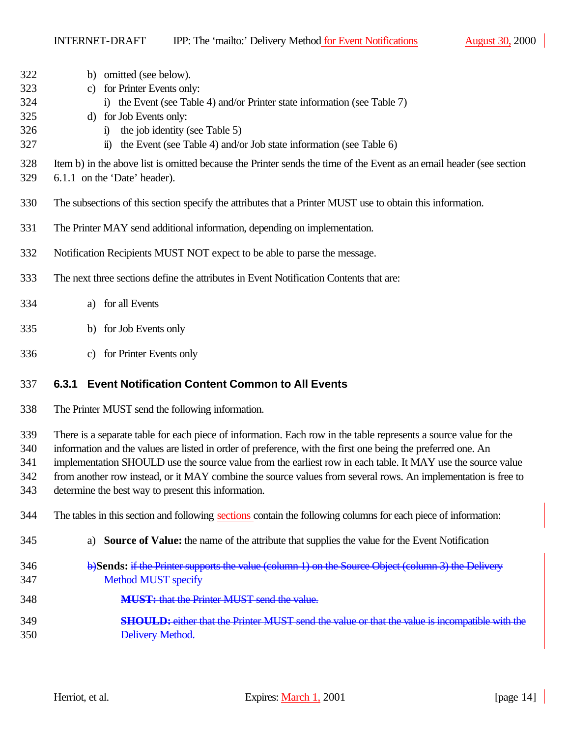| 322        | omitted (see below).<br>b)                                                                                                                                           |
|------------|----------------------------------------------------------------------------------------------------------------------------------------------------------------------|
| 323        | for Printer Events only:<br>C)                                                                                                                                       |
| 324        | i) the Event (see Table 4) and/or Printer state information (see Table 7)                                                                                            |
| 325        | d) for Job Events only:                                                                                                                                              |
| 326        | the job identity (see Table 5)<br>$\ddot{1}$                                                                                                                         |
| 327        | the Event (see Table 4) and/or Job state information (see Table 6)<br>$\bf{u}$                                                                                       |
| 328<br>329 | Item b) in the above list is omitted because the Printer sends the time of the Event as an email header (see section<br>6.1.1 on the 'Date' header).                 |
| 330        | The subsections of this section specify the attributes that a Printer MUST use to obtain this information.                                                           |
| 331        | The Printer MAY send additional information, depending on implementation.                                                                                            |
| 332        | Notification Recipients MUST NOT expect to be able to parse the message.                                                                                             |
| 333        | The next three sections define the attributes in Event Notification Contents that are:                                                                               |
| 334        | for all Events<br>a)                                                                                                                                                 |
| 335        | for Job Events only<br>b)                                                                                                                                            |
| 336        | for Printer Events only<br>c)                                                                                                                                        |
|            |                                                                                                                                                                      |
| 337        | <b>Event Notification Content Common to All Events</b><br>6.3.1                                                                                                      |
| 338        | The Printer MUST send the following information.                                                                                                                     |
|            |                                                                                                                                                                      |
| 339<br>340 | There is a separate table for each piece of information. Each row in the table represents a source value for the                                                     |
|            | information and the values are listed in order of preference, with the first one being the preferred one. An                                                         |
| 341        | implementation SHOULD use the source value from the earliest row in each table. It MAY use the source value                                                          |
| 342<br>343 | from another row instead, or it MAY combine the source values from several rows. An implementation is free to<br>determine the best way to present this information. |
| 344        | The tables in this section and following sections contain the following columns for each piece of information:                                                       |
| 345        | Source of Value: the name of the attribute that supplies the value for the Event Notification<br>a)                                                                  |
|            |                                                                                                                                                                      |
| 346<br>347 | b)Sends: if the Printer supports the value (column 1) on the Source Object (column 3) the Delivery<br><b>Method MUST specify</b>                                     |
| 348        | <b>MUST:</b> that the Printer MUST send the value.                                                                                                                   |
|            | <b>SHOULD:</b> either that the Printer MUST send the value or that the value is incompatible with the                                                                |
| 349<br>350 | Delivery Method.                                                                                                                                                     |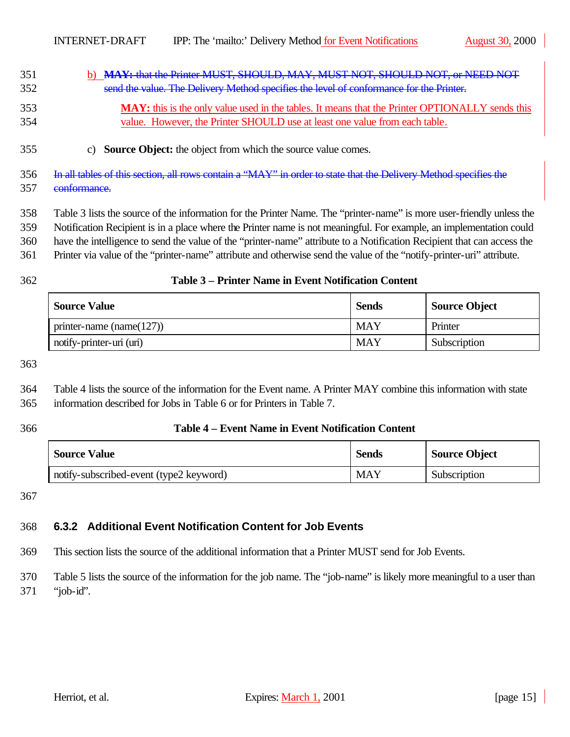| 351 | b) MAY: that the Printer MUST, SHOULD, MAY, MUST NOT, SHOULD NOT, or NEED NOT           |
|-----|-----------------------------------------------------------------------------------------|
| 352 | send the value. The Delivery Method specifies the level of conformance for the Printer. |

- **MAY:** this is the only value used in the tables. It means that the Printer OPTIONALLY sends this value. However, the Printer SHOULD use at least one value from each table.
- c) **Source Object:** the object from which the source value comes.
- In all tables of this section, all rows contain a "MAY" in order to state that the Delivery Method specifies the conformance.

Table 3 lists the source of the information for the Printer Name. The "printer-name" is more user-friendly unless the

Notification Recipient is in a place where the Printer name is not meaningful. For example, an implementation could

- have the intelligence to send the value of the "printer-name" attribute to a Notification Recipient that can access the
- Printer via value of the "printer-name" attribute and otherwise send the value of the "notify-printer-uri" attribute.

#### **Table 3 – Printer Name in Event Notification Content**

| <b>Source Value</b>          | <b>Sends</b> | <b>Source Object</b> |
|------------------------------|--------------|----------------------|
| printer-name (name( $127$ )) | MAY          | Printer              |
| notify-printer-uri (uri)     | <b>MAY</b>   | Subscription         |

 Table 4 lists the source of the information for the Event name. A Printer MAY combine this information with state information described for Jobs in Table 6 or for Printers in Table 7.

#### **Table 4 – Event Name in Event Notification Content**

| <b>Source Value</b>                     | <b>Sends</b> | Source Object |
|-----------------------------------------|--------------|---------------|
| notify-subscribed-event (type2 keyword) | <b>MAY</b>   | Subscription  |

## **6.3.2 Additional Event Notification Content for Job Events**

This section lists the source of the additional information that a Printer MUST send for Job Events.

 Table 5 lists the source of the information for the job name. The "job-name" is likely more meaningful to a user than "job-id".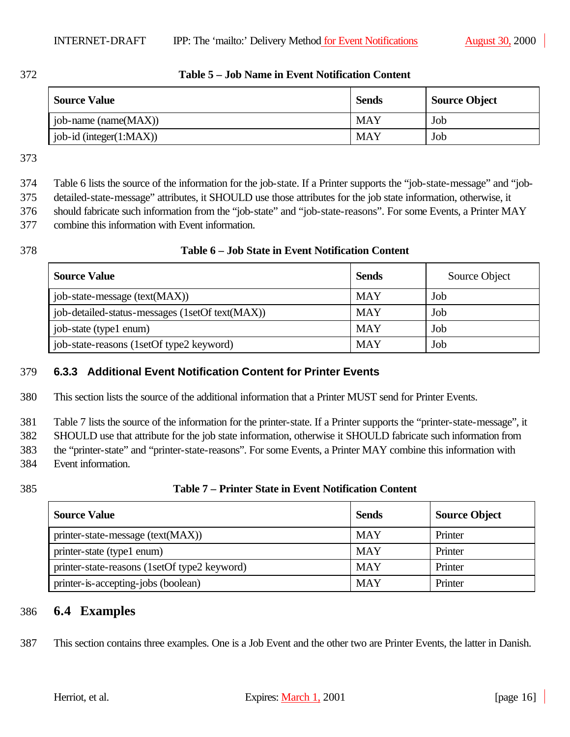#### 372 **Table 5 – Job Name in Event Notification Content**

| <b>Source Value</b>           | <b>Sends</b> | <b>Source Object</b> |
|-------------------------------|--------------|----------------------|
| job-name (name(MAX))          | <b>MAY</b>   | Job                  |
| $job-id$ (integer $(1:MAX)$ ) | <b>MAY</b>   | Job                  |

373

374 Table 6 lists the source of the information for the job-state. If a Printer supports the "job-state-message" and "job-

375 detailed-state-message" attributes, it SHOULD use those attributes for the job state information, otherwise, it

376 should fabricate such information from the "job-state" and "job-state-reasons". For some Events, a Printer MAY

377 combine this information with Event information.

#### 378 **Table 6 – Job State in Event Notification Content**

| <b>Source Value</b>                             | <b>Sends</b> | Source Object |
|-------------------------------------------------|--------------|---------------|
| job-state-message (text(MAX))                   | <b>MAY</b>   | Job           |
| job-detailed-status-messages (1setOf text(MAX)) | <b>MAY</b>   | Job           |
| job-state (type1 enum)                          | <b>MAY</b>   | Job           |
| job-state-reasons (1setOf type2 keyword)        | MAY          | Job           |

## 379 **6.3.3 Additional Event Notification Content for Printer Events**

380 This section lists the source of the additional information that a Printer MUST send for Printer Events.

381 Table 7 lists the source of the information for the printer-state. If a Printer supports the "printer-state-message", it

382 SHOULD use that attribute for the job state information, otherwise it SHOULD fabricate such information from

383 the "printer-state" and "printer-state-reasons". For some Events, a Printer MAY combine this information with

384 Event information.

## 385 **Table 7 – Printer State in Event Notification Content**

| <b>Source Value</b>                          | <b>Sends</b> | <b>Source Object</b> |
|----------------------------------------------|--------------|----------------------|
| printer-state-message (text(MAX))            | <b>MAY</b>   | Printer              |
| printer-state (type1 enum)                   | <b>MAY</b>   | Printer              |
| printer-state-reasons (1setOf type2 keyword) | <b>MAY</b>   | Printer              |
| printer-is-accepting-jobs (boolean)          | <b>MAY</b>   | Printer              |

## 386 **6.4 Examples**

387 This section contains three examples. One is a Job Event and the other two are Printer Events, the latter in Danish.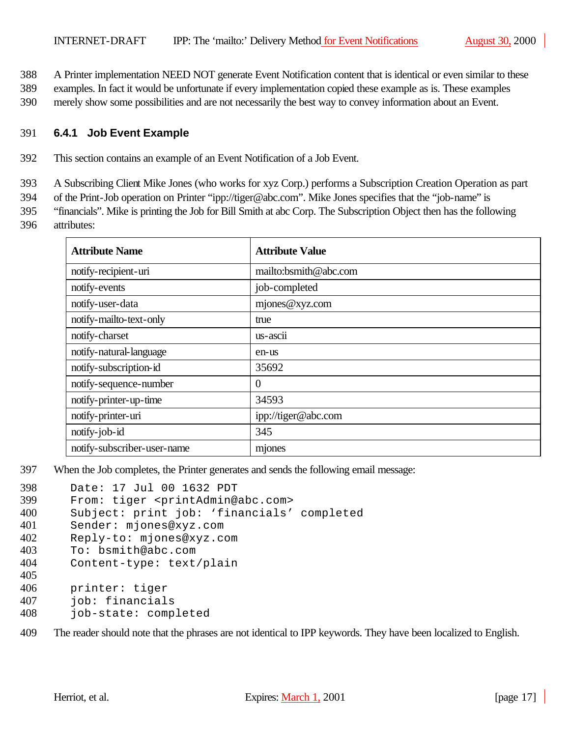388 A Printer implementation NEED NOT generate Event Notification content that is identical or even similar to these

- 389 examples. In fact it would be unfortunate if every implementation copied these example as is. These examples
- 390 merely show some possibilities and are not necessarily the best way to convey information about an Event.

### 391 **6.4.1 Job Event Example**

392 This section contains an example of an Event Notification of a Job Event.

393 A Subscribing Client Mike Jones (who works for xyz Corp.) performs a Subscription Creation Operation as part

394 of the Print-Job operation on Printer "ipp://tiger@abc.com". Mike Jones specifies that the "job-name" is

395 "financials". Mike is printing the Job for Bill Smith at abc Corp. The Subscription Object then has the following 396 attributes:

| <b>Attribute Name</b>       | <b>Attribute Value</b> |
|-----------------------------|------------------------|
| notify-recipient-uri        | mailto:bsmith@abc.com  |
| notify-events               | job-completed          |
| notify-user-data            | mjones@xyz.com         |
| notify-mailto-text-only     | true                   |
| notify-charset              | us-ascii               |
| notify-natural-language     | en-us                  |
| notify-subscription-id      | 35692                  |
| notify-sequence-number      | $\theta$               |
| notify-printer-up-time      | 34593                  |
| notify-printer-uri          | ipp://tiger@abc.com    |
| notify-job-id               | 345                    |
| notify-subscriber-user-name | mjones                 |

397 When the Job completes, the Printer generates and sends the following email message:

```
398 Date: 17 Jul 00 1632 PDT
399 From: tiger <printAdmin@abc.com>
400 Subject: print job: 'financials' completed
401 Sender: mjones@xyz.com
402 Reply-to: mjones@xyz.com
403 To: bsmith@abc.com
404 Content-type: text/plain
405
406 printer: tiger
407 job: financials
408 job-state: completed
```
409 The reader should note that the phrases are not identical to IPP keywords. They have been localized to English.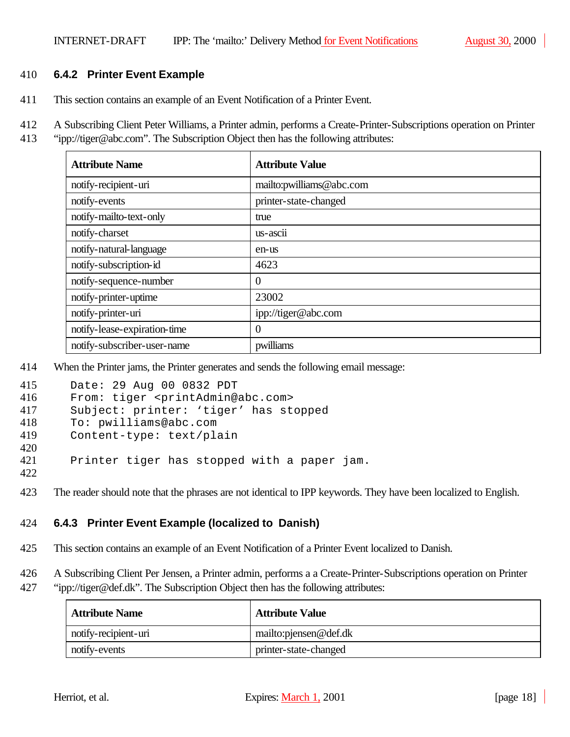### 410 **6.4.2 Printer Event Example**

411 This section contains an example of an Event Notification of a Printer Event.

412 A Subscribing Client Peter Williams, a Printer admin, performs a Create-Printer-Subscriptions operation on Printer

413 "ipp://tiger@abc.com". The Subscription Object then has the following attributes:

| <b>Attribute Name</b>        | <b>Attribute Value</b>   |
|------------------------------|--------------------------|
| notify-recipient-uri         | mailto:pwilliams@abc.com |
| notify-events                | printer-state-changed    |
| notify-mailto-text-only      | true                     |
| notify-charset               | $us - accii$             |
| notify-natural-language      | en-us                    |
| notify-subscription-id       | 4623                     |
| notify-sequence-number       | $\overline{0}$           |
| notify-printer-uptime        | 23002                    |
| notify-printer-uri           | ipp://tiger@abc.com      |
| notify-lease-expiration-time | $\overline{0}$           |
| notify-subscriber-user-name  | pwilliams                |

414 When the Printer jams, the Printer generates and sends the following email message:

| 415 | Date: 29 Aug 00 0832 PDT                              |
|-----|-------------------------------------------------------|
| 416 | From: tiger <printadmin@abc.com></printadmin@abc.com> |
| 417 | Subject: printer: 'tiger' has stopped                 |
| 418 | To: pwilliams@abc.com                                 |
| 419 | Content-type: text/plain                              |
| 420 |                                                       |
| 421 | Printer tiger has stopped with a paper jam.           |
| 422 |                                                       |

423 The reader should note that the phrases are not identical to IPP keywords. They have been localized to English.

## 424 **6.4.3 Printer Event Example (localized to Danish)**

- 425 This section contains an example of an Event Notification of a Printer Event localized to Danish.
- 426 A Subscribing Client Per Jensen, a Printer admin, performs a a Create-Printer-Subscriptions operation on Printer
- 427 "ipp://tiger@def.dk". The Subscription Object then has the following attributes:

| <b>Attribute Name</b> | <b>Attribute Value</b>   |
|-----------------------|--------------------------|
| notify-recipient-uri  | mailto: pjensen @ def.dk |
| notify-events         | printer-state-changed    |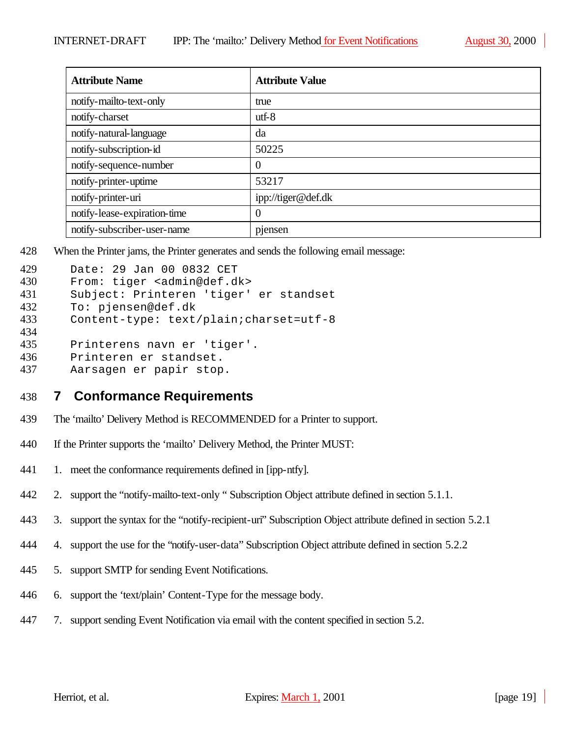| <b>Attribute Name</b>        | <b>Attribute Value</b> |
|------------------------------|------------------------|
| notify-mailto-text-only      | true                   |
| notify-charset               | $utf-8$                |
| notify-natural-language      | da                     |
| notify-subscription-id       | 50225                  |
| notify-sequence-number       | $\overline{0}$         |
| notify-printer-uptime        | 53217                  |
| notify-printer-uri           | ipp://tiger@def.dk     |
| notify-lease-expiration-time | $\overline{0}$         |
| notify-subscriber-user-name  | pjensen                |

428 When the Printer jams, the Printer generates and sends the following email message:

```
429 Date: 29 Jan 00 0832 CET<br>430 From: tiger <admin@def.d
       From: tiger <admin@def.dk>
431 Subject: Printeren 'tiger' er standset
432 To: pjensen@def.dk
433 Content-type: text/plain;charset=utf-8
434
435 Printerens navn er 'tiger'.
436 Printeren er standset.
437 Aarsagen er papir stop.
```
- 438 **7 Conformance Requirements**
- 439 The 'mailto' Delivery Method is RECOMMENDED for a Printer to support.
- 440 If the Printer supports the 'mailto' Delivery Method, the Printer MUST:
- 441 1. meet the conformance requirements defined in [ipp-ntfy].
- 442 2. support the "notify-mailto-text-only " Subscription Object attribute defined in section 5.1.1.
- 443 3. support the syntax for the "notify-recipient-uri" Subscription Object attribute defined in section 5.2.1
- 444 4. support the use for the "notify-user-data" Subscription Object attribute defined in section 5.2.2
- 445 5. support SMTP for sending Event Notifications.
- 446 6. support the 'text/plain' Content-Type for the message body.
- 447 7. support sending Event Notification via email with the content specified in section 5.2.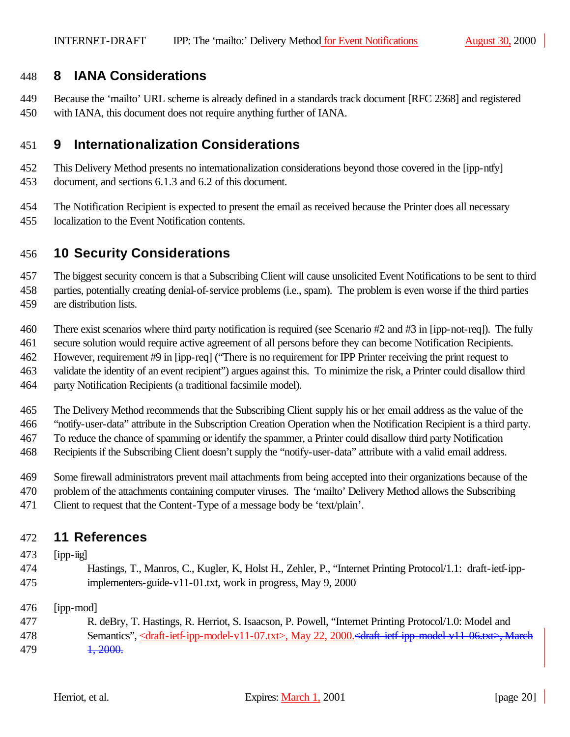## **8 IANA Considerations**

- Because the 'mailto' URL scheme is already defined in a standards track document [RFC 2368] and registered
- with IANA, this document does not require anything further of IANA.

## **9 Internationalization Considerations**

- This Delivery Method presents no internationalization considerations beyond those covered in the [ipp-ntfy] document, and sections 6.1.3 and 6.2 of this document.
- The Notification Recipient is expected to present the email as received because the Printer does all necessary
- localization to the Event Notification contents.

# **10 Security Considerations**

The biggest security concern is that a Subscribing Client will cause unsolicited Event Notifications to be sent to third

- parties, potentially creating denial-of-service problems (i.e., spam). The problem is even worse if the third parties
- are distribution lists.
- There exist scenarios where third party notification is required (see Scenario #2 and #3 in [ipp-not-req]). The fully
- secure solution would require active agreement of all persons before they can become Notification Recipients.
- However, requirement #9 in [ipp-req] ("There is no requirement for IPP Printer receiving the print request to
- validate the identity of an event recipient") argues against this. To minimize the risk, a Printer could disallow third
- party Notification Recipients (a traditional facsimile model).
- The Delivery Method recommends that the Subscribing Client supply his or her email address as the value of the
- "notify-user-data" attribute in the Subscription Creation Operation when the Notification Recipient is a third party.
- To reduce the chance of spamming or identify the spammer, a Printer could disallow third party Notification
- Recipients if the Subscribing Client doesn't supply the "notify-user-data" attribute with a valid email address.
- Some firewall administrators prevent mail attachments from being accepted into their organizations because of the
- problem of the attachments containing computer viruses. The 'mailto' Delivery Method allows the Subscribing
- Client to request that the Content-Type of a message body be 'text/plain'.

## **11 References**

## [ipp-iig]

 Hastings, T., Manros, C., Kugler, K, Holst H., Zehler, P., "Internet Printing Protocol/1.1: draft-ietf-ipp-implementers-guide-v11-01.txt, work in progress, May 9, 2000

[ipp-mod]

 R. deBry, T. Hastings, R. Herriot, S. Isaacson, P. Powell, "Internet Printing Protocol/1.0: Model and 478 Semantics", <draft-ietf-ipp-model-v11-07.txt>, May 22, 2000.<draft-ietf-ipp-model-v11-06.txt>, March **1, 2000.**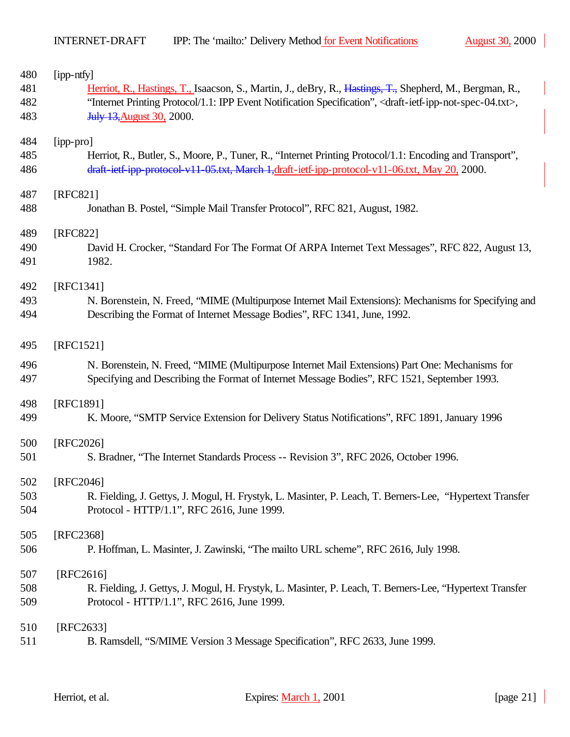| 480 | [ipp-ntfy]                                                                                                                                 |
|-----|--------------------------------------------------------------------------------------------------------------------------------------------|
| 481 | Herriot, R., Hastings, T., Isaacson, S., Martin, J., deBry, R., Hastings, T., Shepherd, M., Bergman, R.,                                   |
| 482 | "Internet Printing Protocol/1.1: IPP Event Notification Specification", <draft-ietf-ipp-not-spec-04.txt>,</draft-ietf-ipp-not-spec-04.txt> |
| 483 | <b>July 13, August 30, 2000.</b>                                                                                                           |
| 484 | [ipp-pro]                                                                                                                                  |
| 485 | Herriot, R., Butler, S., Moore, P., Tuner, R., "Internet Printing Protocol/1.1: Encoding and Transport",                                   |
| 486 | draft-ietf-ipp-protocol-v11-05.txt, March-1,draft-ietf-ipp-protocol-v11-06.txt, May 20, 2000.                                              |
| 487 | [RFC821]                                                                                                                                   |
| 488 | Jonathan B. Postel, "Simple Mail Transfer Protocol", RFC 821, August, 1982.                                                                |
| 489 | [RFC822]                                                                                                                                   |
| 490 | David H. Crocker, "Standard For The Format Of ARPA Internet Text Messages", RFC 822, August 13,                                            |
| 491 | 1982.                                                                                                                                      |
| 492 | [RFC1341]                                                                                                                                  |
| 493 | N. Borenstein, N. Freed, "MIME (Multipurpose Internet Mail Extensions): Mechanisms for Specifying and                                      |
| 494 | Describing the Format of Internet Message Bodies", RFC 1341, June, 1992.                                                                   |
| 495 | [RFC1521]                                                                                                                                  |
| 496 | N. Borenstein, N. Freed, "MIME (Multipurpose Internet Mail Extensions) Part One: Mechanisms for                                            |
| 497 | Specifying and Describing the Format of Internet Message Bodies", RFC 1521, September 1993.                                                |
| 498 | [RFC1891]                                                                                                                                  |
| 499 | K. Moore, "SMTP Service Extension for Delivery Status Notifications", RFC 1891, January 1996                                               |
| 500 | [RFC2026]                                                                                                                                  |
| 501 | S. Bradner, "The Internet Standards Process -- Revision 3", RFC 2026, October 1996.                                                        |
| 502 | [RFC2046]                                                                                                                                  |
| 503 | R. Fielding, J. Gettys, J. Mogul, H. Frystyk, L. Masinter, P. Leach, T. Berners-Lee, "Hypertext Transfer                                   |
| 504 | Protocol - HTTP/1.1", RFC 2616, June 1999.                                                                                                 |
| 505 | [RFC2368]                                                                                                                                  |
| 506 | P. Hoffman, L. Masinter, J. Zawinski, "The mailto URL scheme", RFC 2616, July 1998.                                                        |
|     |                                                                                                                                            |
| 507 | $[RFC2616]$                                                                                                                                |
| 508 | R. Fielding, J. Gettys, J. Mogul, H. Frystyk, L. Masinter, P. Leach, T. Berners-Lee, "Hypertext Transfer                                   |
| 509 | Protocol - HTTP/1.1", RFC 2616, June 1999.                                                                                                 |
| 510 | [RFC2633]                                                                                                                                  |
| 511 | B. Ramsdell, "S/MIME Version 3 Message Specification", RFC 2633, June 1999.                                                                |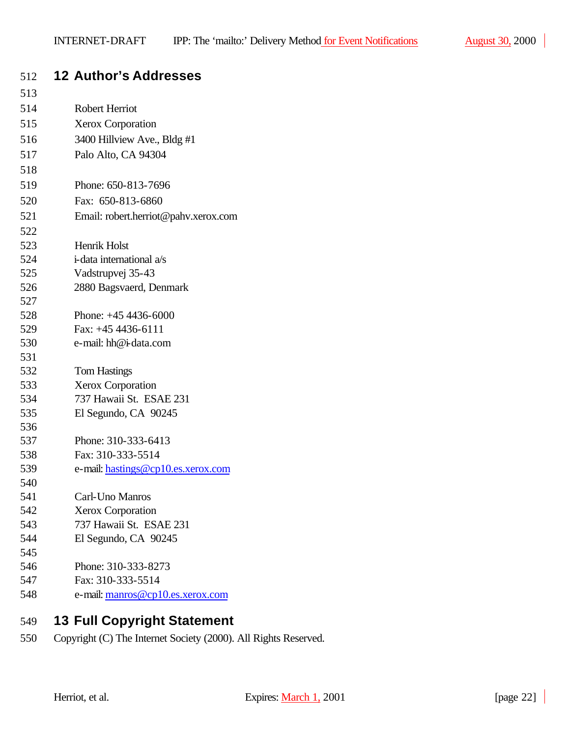| 512        | <b>12 Author's Addresses</b>                 |
|------------|----------------------------------------------|
| 513        |                                              |
| 514        | <b>Robert Herriot</b>                        |
| 515        | <b>Xerox Corporation</b>                     |
| 516        | 3400 Hillview Ave., Bldg #1                  |
| 517        | Palo Alto, CA 94304                          |
| 518        |                                              |
| 519        | Phone: 650-813-7696                          |
| 520        | Fax: 650-813-6860                            |
| 521        | Email: robert.herriot@pahv.xerox.com         |
| 522        |                                              |
| 523        | Henrik Holst                                 |
| 524        | i-data international a/s                     |
| 525        | Vadstrupvej 35-43                            |
| 526        | 2880 Bagsvaerd, Denmark                      |
| 527        |                                              |
| 528        | Phone: $+45$ 4436-6000                       |
| 529        | Fax: $+45$ 4436-6111                         |
| 530        | e-mail: hh@i-data.com                        |
| 531        |                                              |
| 532<br>533 | <b>Tom Hastings</b>                          |
| 534        | Xerox Corporation<br>737 Hawaii St. ESAE 231 |
| 535        | El Segundo, CA 90245                         |
| 536        |                                              |
| 537        | Phone: 310-333-6413                          |
| 538        | Fax: 310-333-5514                            |
| 539        | e-mail: hastings@cp10.es.xerox.com           |
| 540        |                                              |
| 541        | Carl-Uno Manros                              |
| 542        | <b>Xerox Corporation</b>                     |
| 543        | 737 Hawaii St. ESAE 231                      |
| 544        | El Segundo, CA 90245                         |
| 545        |                                              |
| 546        | Phone: 310-333-8273                          |
| 547        | Fax: 310-333-5514                            |
| 548        | e-mail: manros@cp10.es.xerox.com             |

# **13 Full Copyright Statement**

Copyright (C) The Internet Society (2000). All Rights Reserved.